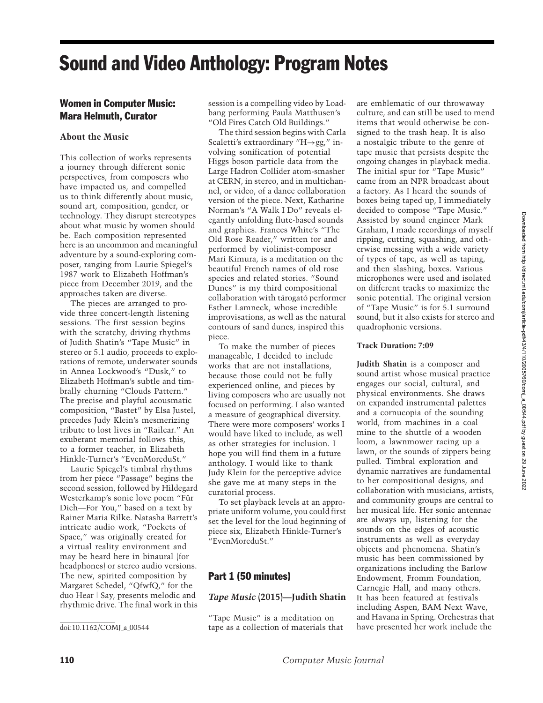# Sound and Video Anthology: Program Notes

# Women in Computer Music: Mara Helmuth, Curator

# **About the Music**

This collection of works represents a journey through different sonic perspectives, from composers who have impacted us, and compelled us to think differently about music, sound art, composition, gender, or technology. They disrupt stereotypes about what music by women should be. Each composition represented here is an uncommon and meaningful adventure by a sound-exploring composer, ranging from Laurie Spiegel's 1987 work to Elizabeth Hoffman's piece from December 2019, and the approaches taken are diverse.

The pieces are arranged to provide three concert-length listening sessions. The first session begins with the scratchy, driving rhythms of Judith Shatin's "Tape Music" in stereo or 5.1 audio, proceeds to explorations of remote, underwater sounds in Annea Lockwood's "Dusk," to Elizabeth Hoffman's subtle and timbrally churning "Clouds Pattern." The precise and playful acousmatic composition, "Bastet" by Elsa Justel, precedes Judy Klein's mesmerizing tribute to lost lives in "Railcar." An exuberant memorial follows this, to a former teacher, in Elizabeth Hinkle-Turner's "EvenMoreduSt."

Laurie Spiegel's timbral rhythms from her piece "Passage" begins the second session, followed by Hildegard Westerkamp's sonic love poem "Fur¨ Dich—For You," based on a text by Rainer Maria Rilke. Natasha Barrett's intricate audio work, "Pockets of Space," was originally created for a virtual reality environment and may be heard here in binaural (for headphones) or stereo audio versions. The new, spirited composition by Margaret Schedel, "QfwfQ," for the duo Hear | Say, presents melodic and rhythmic drive. The final work in this

session is a compelling video by Loadbang performing Paula Matthusen's "Old Fires Catch Old Buildings."

The third session begins with Carla Scaletti's extraordinary "H→gg," involving sonification of potential Higgs boson particle data from the Large Hadron Collider atom-smasher at CERN, in stereo, and in multichannel, or video, of a dance collaboration version of the piece. Next, Katharine Norman's "A Walk I Do" reveals elegantly unfolding flute-based sounds and graphics. Frances White's "The Old Rose Reader," written for and performed by violinist-composer Mari Kimura, is a meditation on the beautiful French names of old rose species and related stories. "Sound Dunes" is my third compositional collaboration with tárogató performer Esther Lamneck, whose incredible improvisations, as well as the natural contours of sand dunes, inspired this piece.

To make the number of pieces manageable, I decided to include works that are not installations, because those could not be fully experienced online, and pieces by living composers who are usually not focused on performing. I also wanted a measure of geographical diversity. There were more composers' works I would have liked to include, as well as other strategies for inclusion. I hope you will find them in a future anthology. I would like to thank Judy Klein for the perceptive advice she gave me at many steps in the curatorial process.

To set playback levels at an appropriate uniform volume, you could first set the level for the loud beginning of piece six, Elizabeth Hinkle-Turner's "EvenMoreduSt."

# Part 1 (50 minutes)

## *Tape Music* **(2015)—Judith Shatin**

"Tape Music" is a meditation on tape as a collection of materials that are emblematic of our throwaway culture, and can still be used to mend items that would otherwise be consigned to the trash heap. It is also a nostalgic tribute to the genre of tape music that persists despite the ongoing changes in playback media. The initial spur for "Tape Music" came from an NPR broadcast about a factory. As I heard the sounds of boxes being taped up, I immediately decided to compose "Tape Music." Assisted by sound engineer Mark Graham, I made recordings of myself ripping, cutting, squashing, and otherwise messing with a wide variety of types of tape, as well as taping, and then slashing, boxes. Various microphones were used and isolated on different tracks to maximize the sonic potential. The original version of "Tape Music" is for 5.1 surround sound, but it also exists for stereo and quadrophonic versions.

## **Track Duration: 7:09**

**Judith Shatin** is a composer and sound artist whose musical practice engages our social, cultural, and physical environments. She draws on expanded instrumental palettes and a cornucopia of the sounding world, from machines in a coal mine to the shuttle of a wooden loom, a lawnmower racing up a lawn, or the sounds of zippers being pulled. Timbral exploration and dynamic narratives are fundamental to her compositional designs, and collaboration with musicians, artists, and community groups are central to her musical life. Her sonic antennae are always up, listening for the sounds on the edges of acoustic instruments as well as everyday objects and phenomena. Shatin's music has been commissioned by organizations including the Barlow Endowment, Fromm Foundation, Carnegie Hall, and many others. It has been featured at festivals including Aspen, BAM Next Wave, and Havana in Spring. Orchestras that have presented her work include the

Downloaded from http://direct.mit.edu/comj/article-pdf43/4/110/2005760/comj\_a\_00544.pdf by guest on 29 June 2022 Downloaded from http://direct.mit.edu/comj/article-pdf/43/4/110/2005760/comj\_a\_00544.pdf by guest on 29 June 2022

doi:10.1162/COMJ\_a\_00544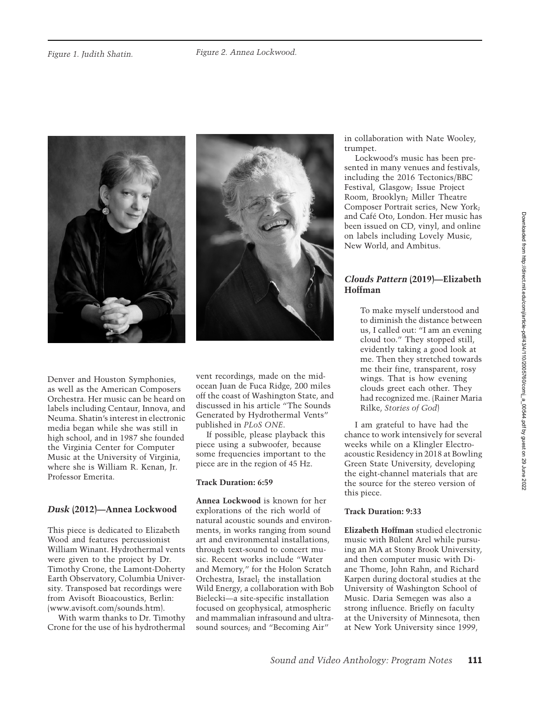



Denver and Houston Symphonies, as well as the American Composers Orchestra. Her music can be heard on labels including Centaur, Innova, and Neuma. Shatin's interest in electronic media began while she was still in high school, and in 1987 she founded the Virginia Center for Computer Music at the University of Virginia, where she is William R. Kenan, Jr. Professor Emerita.

# *Dusk* **(2012)—Annea Lockwood**

This piece is dedicated to Elizabeth Wood and features percussionist William Winant. Hydrothermal vents were given to the project by Dr. Timothy Crone, the Lamont-Doherty Earth Observatory, Columbia University. Transposed bat recordings were from Avisoft Bioacoustics, Berlin: (www.avisoft.com/sounds.htm).

With warm thanks to Dr. Timothy Crone for the use of his hydrothermal vent recordings, made on the midocean Juan de Fuca Ridge, 200 miles off the coast of Washington State, and discussed in his article "The Sounds Generated by Hydrothermal Vents" published in *PLoS ONE*.

If possible, please playback this piece using a subwoofer, because some frequencies important to the piece are in the region of 45 Hz.

## **Track Duration: 6:59**

**Annea Lockwood** is known for her explorations of the rich world of natural acoustic sounds and environments, in works ranging from sound art and environmental installations, through text-sound to concert music. Recent works include "Water and Memory," for the Holon Scratch Orchestra, Israel; the installation Wild Energy, a collaboration with Bob Bielecki—a site-specific installation focused on geophysical, atmospheric and mammalian infrasound and ultrasound sources; and "Becoming Air"

in collaboration with Nate Wooley, trumpet.

Lockwood's music has been presented in many venues and festivals, including the 2016 Tectonics/BBC Festival, Glasgow; Issue Project Room, Brooklyn; Miller Theatre Composer Portrait series, New York; and Cafe Oto, London. Her music has ´ been issued on CD, vinyl, and online on labels including Lovely Music, New World, and Ambitus.

# *Clouds Pattern* **(2019)—Elizabeth Hoffman**

To make myself understood and to diminish the distance between us, I called out: "I am an evening cloud too." They stopped still, evidently taking a good look at me. Then they stretched towards me their fine, transparent, rosy wings. That is how evening clouds greet each other. They had recognized me. (Rainer Maria Rilke, *Stories of God*)

I am grateful to have had the chance to work intensively for several weeks while on a Klingler Electroacoustic Residency in 2018 at Bowling Green State University, developing the eight-channel materials that are the source for the stereo version of this piece.

# **Track Duration: 9:33**

**Elizabeth Hoffman** studied electronic music with Bülent Arel while pursuing an MA at Stony Brook University, and then computer music with Diane Thome, John Rahn, and Richard Karpen during doctoral studies at the University of Washington School of Music. Daria Semegen was also a strong influence. Briefly on faculty at the University of Minnesota, then at New York University since 1999,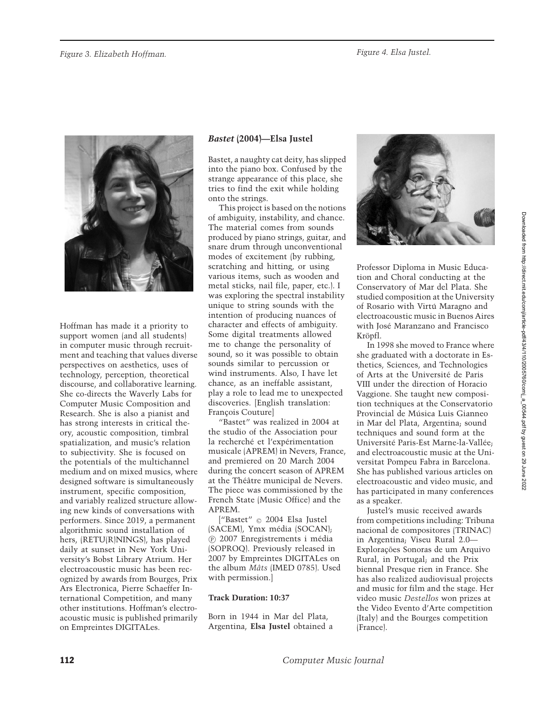

Hoffman has made it a priority to support women (and all students) in computer music through recruitment and teaching that values diverse perspectives on aesthetics, uses of technology, perception, theoretical discourse, and collaborative learning. She co-directs the Waverly Labs for Computer Music Composition and Research. She is also a pianist and has strong interests in critical theory, acoustic composition, timbral spatialization, and music's relation to subjectivity. She is focused on the potentials of the multichannel medium and on mixed musics, where designed software is simultaneously instrument, specific composition, and variably realized structure allowing new kinds of conversations with performers. Since 2019, a permanent algorithmic sound installation of hers, (RETU(R)NINGS), has played daily at sunset in New York University's Bobst Library Atrium. Her electroacoustic music has been recognized by awards from Bourges, Prix Ars Electronica, Pierre Schaeffer International Competition, and many other institutions. Hoffman's electroacoustic music is published primarily on Empreintes DIGITALes.

# *Bastet* **(2004)—Elsa Justel**

Bastet, a naughty cat deity, has slipped into the piano box. Confused by the strange appearance of this place, she tries to find the exit while holding onto the strings.

This project is based on the notions of ambiguity, instability, and chance. The material comes from sounds produced by piano strings, guitar, and snare drum through unconventional modes of excitement (by rubbing, scratching and hitting, or using various items, such as wooden and metal sticks, nail file, paper, etc.). I was exploring the spectral instability unique to string sounds with the intention of producing nuances of character and effects of ambiguity. Some digital treatments allowed me to change the personality of sound, so it was possible to obtain sounds similar to percussion or wind instruments. Also, I have let chance, as an ineffable assistant, play a role to lead me to unexpected discoveries. [English translation: François Couture]

"Bastet" was realized in 2004 at the studio of the Association pour la recherché et l'expérimentation musicale (APREM) in Nevers, France, and premiered on 20 March 2004 during the concert season of APREM at the Théâtre municipal de Nevers. The piece was commissioned by the French State (Music Office) and the APREM.

["Bastet"  $\odot$  2004 Elsa Justel (SACEM), Ymx média (SOCAN); <sup>P</sup> 2007 Enregistrements i media ´ (SOPROQ). Previously released in 2007 by Empreintes DIGITALes on the album *Mâts* (IMED 0785). Used with permission.]

#### **Track Duration: 10:37**

Born in 1944 in Mar del Plata, Argentina, **Elsa Justel** obtained a



Professor Diploma in Music Education and Choral conducting at the Conservatory of Mar del Plata. She studied composition at the University of Rosario with Virtú Maragno and electroacoustic music in Buenos Aires with José Maranzano and Francisco Kröpfl.

In 1998 she moved to France where she graduated with a doctorate in Esthetics, Sciences, and Technologies of Arts at the Universite de Paris ´ VIII under the direction of Horacio Vaggione. She taught new composition techniques at the Conservatorio Provincial de Música Luis Gianneo in Mar del Plata, Argentina; sound techniques and sound form at the Université Paris-Est Marne-la-Vallée; and electroacoustic music at the Universitat Pompeu Fabra in Barcelona. She has published various articles on electroacoustic and video music, and has participated in many conferences as a speaker.

Justel's music received awards from competitions including: Tribuna nacional de compositores (TRINAC) in Argentina; Viseu Rural 2.0— Explorações Sonoras de um Arquivo Rural, in Portugal; and the Prix biennal Presque rien in France. She has also realized audiovisual projects and music for film and the stage. Her video music *Destellos* won prizes at the Video Evento d'Arte competition (Italy) and the Bourges competition (France).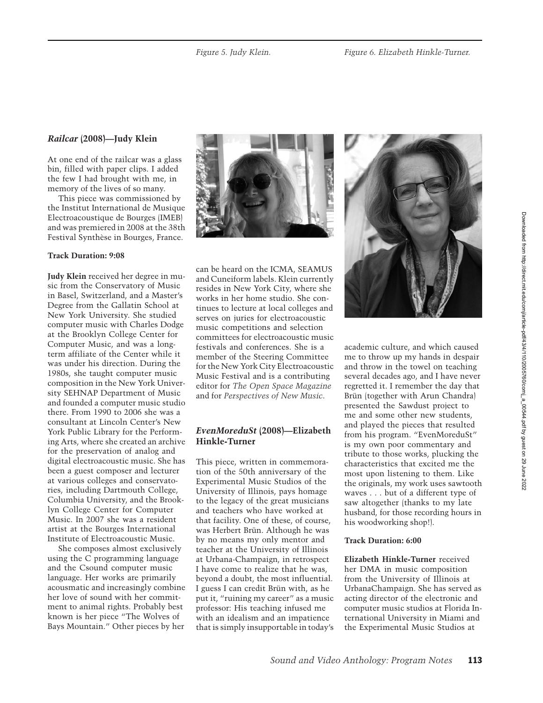# *Railcar* **(2008)—Judy Klein**

At one end of the railcar was a glass bin, filled with paper clips. I added the few I had brought with me, in memory of the lives of so many.

This piece was commissioned by the Institut International de Musique Electroacoustique de Bourges (IMEB) and was premiered in 2008 at the 38th Festival Synthèse in Bourges, France.

#### **Track Duration: 9:08**

**Judy Klein** received her degree in music from the Conservatory of Music in Basel, Switzerland, and a Master's Degree from the Gallatin School at New York University. She studied computer music with Charles Dodge at the Brooklyn College Center for Computer Music, and was a longterm affiliate of the Center while it was under his direction. During the 1980s, she taught computer music composition in the New York University SEHNAP Department of Music and founded a computer music studio there. From 1990 to 2006 she was a consultant at Lincoln Center's New York Public Library for the Performing Arts, where she created an archive for the preservation of analog and digital electroacoustic music. She has been a guest composer and lecturer at various colleges and conservatories, including Dartmouth College, Columbia University, and the Brooklyn College Center for Computer Music. In 2007 she was a resident artist at the Bourges International Institute of Electroacoustic Music.

She composes almost exclusively using the C programming language and the Csound computer music language. Her works are primarily acousmatic and increasingly combine her love of sound with her commitment to animal rights. Probably best known is her piece "The Wolves of Bays Mountain." Other pieces by her



can be heard on the ICMA, SEAMUS and Cuneiform labels. Klein currently resides in New York City, where she works in her home studio. She continues to lecture at local colleges and serves on juries for electroacoustic music competitions and selection committees for electroacoustic music festivals and conferences. She is a member of the Steering Committee for the New York City Electroacoustic Music Festival and is a contributing editor for *The Open Space Magazine* and for *Perspectives of New Music*.

# *EvenMoreduSt* **(2008)—Elizabeth Hinkle-Turner**

This piece, written in commemoration of the 50th anniversary of the Experimental Music Studios of the University of Illinois, pays homage to the legacy of the great musicians and teachers who have worked at that facility. One of these, of course, was Herbert Brün. Although he was by no means my only mentor and teacher at the University of Illinois at Urbana-Champaign, in retrospect I have come to realize that he was, beyond a doubt, the most influential. I guess I can credit Brün with, as he put it, "ruining my career" as a music professor: His teaching infused me with an idealism and an impatience that is simply insupportable in today's



academic culture, and which caused me to throw up my hands in despair and throw in the towel on teaching several decades ago, and I have never regretted it. I remember the day that Brün (together with Arun Chandra) presented the Sawdust project to me and some other new students, and played the pieces that resulted from his program. "EvenMoreduSt" is my own poor commentary and tribute to those works, plucking the characteristics that excited me the most upon listening to them. Like the originals, my work uses sawtooth waves . . . but of a different type of saw altogether (thanks to my late husband, for those recording hours in his woodworking shop!).

#### **Track Duration: 6:00**

**Elizabeth Hinkle-Turner** received her DMA in music composition from the University of Illinois at UrbanaChampaign. She has served as acting director of the electronic and computer music studios at Florida International University in Miami and the Experimental Music Studios at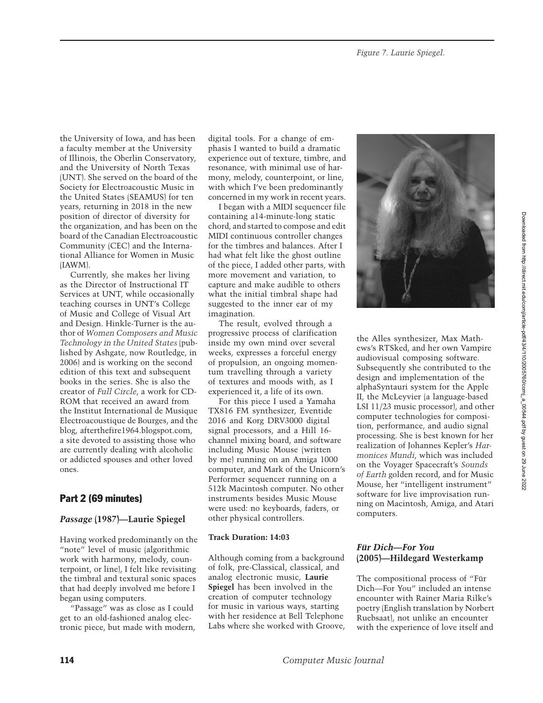the University of Iowa, and has been a faculty member at the University of Illinois, the Oberlin Conservatory, and the University of North Texas (UNT). She served on the board of the Society for Electroacoustic Music in the United States (SEAMUS) for ten years, returning in 2018 in the new position of director of diversity for the organization, and has been on the board of the Canadian Electroacoustic Community (CEC) and the International Alliance for Women in Music (IAWM).

Currently, she makes her living as the Director of Instructional IT Services at UNT, while occasionally teaching courses in UNT's College of Music and College of Visual Art and Design. Hinkle-Turner is the author of *Women Composers and Music Technology in the United States* (published by Ashgate, now Routledge, in 2006) and is working on the second edition of this text and subsequent books in the series. She is also the creator of *Full Circle*, a work for CD-ROM that received an award from the Institut International de Musique Electroacoustique de Bourges, and the blog, afterthefire1964.blogspot.com, a site devoted to assisting those who are currently dealing with alcoholic or addicted spouses and other loved ones.

# Part 2 (69 minutes)

## *Passage* **(1987)—Laurie Spiegel**

Having worked predominantly on the "note" level of music (algorithmic work with harmony, melody, counterpoint, or line), I felt like revisiting the timbral and textural sonic spaces that had deeply involved me before I began using computers.

"Passage" was as close as I could get to an old-fashioned analog electronic piece, but made with modern, digital tools. For a change of emphasis I wanted to build a dramatic experience out of texture, timbre, and resonance, with minimal use of harmony, melody, counterpoint, or line, with which I've been predominantly concerned in my work in recent years.

I began with a MIDI sequencer file containing a14-minute-long static chord, and started to compose and edit MIDI continuous controller changes for the timbres and balances. After I had what felt like the ghost outline of the piece, I added other parts, with more movement and variation, to capture and make audible to others what the initial timbral shape had suggested to the inner ear of my imagination.

The result, evolved through a progressive process of clarification inside my own mind over several weeks, expresses a forceful energy of propulsion, an ongoing momentum travelling through a variety of textures and moods with, as I experienced it, a life of its own.

For this piece I used a Yamaha TX816 FM synthesizer, Eventide 2016 and Korg DRV3000 digital signal processors, and a Hill 16 channel mixing board, and software including Music Mouse (written by me) running on an Amiga 1000 computer, and Mark of the Unicorn's Performer sequencer running on a 512k Macintosh computer. No other instruments besides Music Mouse were used: no keyboards, faders, or other physical controllers.

#### **Track Duration: 14:03**

Although coming from a background of folk, pre-Classical, classical, and analog electronic music, **Laurie Spiegel** has been involved in the creation of computer technology for music in various ways, starting with her residence at Bell Telephone Labs where she worked with Groove,



the Alles synthesizer, Max Mathews's RTSked, and her own Vampire audiovisual composing software. Subsequently she contributed to the design and implementation of the alphaSyntauri system for the Apple II, the McLeyvier (a language-based LSI 11/23 music processor), and other computer technologies for composition, performance, and audio signal processing. She is best known for her realization of Johannes Kepler's *Harmonices Mundi*, which was included on the Voyager Spacecraft's *Sounds of Earth* golden record, and for Music Mouse, her "intelligent instrument" software for live improvisation running on Macintosh, Amiga, and Atari computers.

# **Für Dich—For You (2005)—Hildegard Westerkamp**

The compositional process of "Für Dich—For You" included an intense encounter with Rainer Maria Rilke's poetry (English translation by Norbert Ruebsaat), not unlike an encounter with the experience of love itself and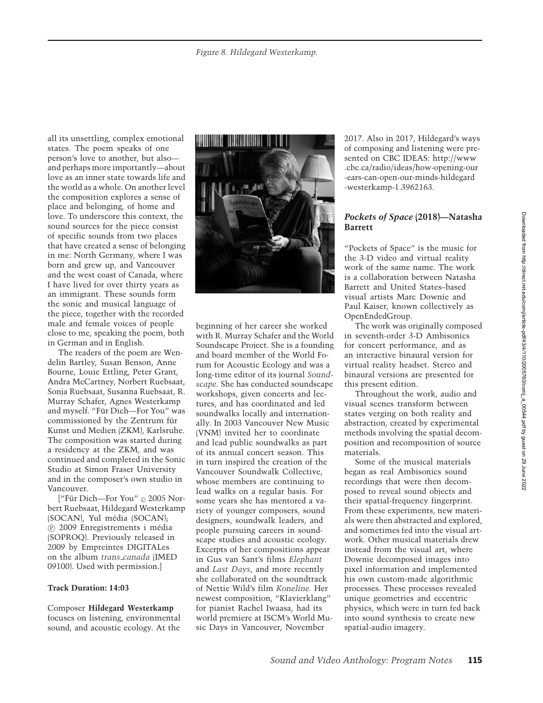all its unsettling, complex emotional states. The poem speaks of one person's love to another, but also and perhaps more importantly—about love as an inner state towards life and the world as a whole. On another level the composition explores a sense of place and belonging, of home and love. To underscore this context, the sound sources for the piece consist of specific sounds from two places that have created a sense of belonging in me: North Germany, where I was born and grew up, and Vancouver and the west coast of Canada, where I have lived for over thirty years as an immigrant. These sounds form the sonic and musical language of the piece, together with the recorded male and female voices of people close to me, speaking the poem, both in German and in English.

The readers of the poem are Wendelin Bartley, Susan Benson, Anne Bourne, Louie Ettling, Peter Grant, Andra McCartney, Norbert Ruebsaat, Sonja Ruebsaat, Susanna Ruebsaat, R. Murray Schafer, Agnes Westerkamp and myself. "Für Dich-For You" was commissioned by the Zentrum für Kunst und Medien (ZKM), Karlsruhe. The composition was started during a residency at the ZKM, and was continued and completed in the Sonic Studio at Simon Fraser University and in the composer's own studio in Vancouver.

["Für Dich—For You" © 2005 Norbert Ruebsaat, Hildegard Westerkamp (SOCAN), Yul média (SOCAN); <sup>P</sup> 2009 Enregistrements i media ´ (SOPROQ). Previously released in 2009 by Empreintes DIGITALes on the album *trans canada* (IMED 09100). Used with permission.]

#### **Track Duration: 14:03**

Composer **Hildegard Westerkamp** focuses on listening, environmental sound, and acoustic ecology. At the



beginning of her career she worked with R. Murray Schafer and the World Soundscape Project. She is a founding and board member of the World Forum for Acoustic Ecology and was a long-time editor of its journal *Soundscape*. She has conducted soundscape workshops, given concerts and lectures, and has coordinated and led soundwalks locally and internationally. In 2003 Vancouver New Music (VNM) invited her to coordinate and lead public soundwalks as part of its annual concert season. This in turn inspired the creation of the Vancouver Soundwalk Collective, whose members are continuing to lead walks on a regular basis. For some years she has mentored a variety of younger composers, sound designers, soundwalk leaders, and people pursuing careers in soundscape studies and acoustic ecology. Excerpts of her compositions appear in Gus van Sant's films *Elephant* and *Last Days*, and more recently she collaborated on the soundtrack of Nettie Wild's film *Koneline.* Her newest composition, "Klavierklang" for pianist Rachel Iwaasa, had its world premiere at ISCM's World Music Days in Vancouver, November

2017. Also in 2017, Hildegard's ways of composing and listening were presented on CBC IDEAS: http://www .cbc.ca/radio/ideas/how-opening-our -ears-can-open-our-minds-hildegard -westerkamp-1.3962163.

#### *Pockets of Space* **(2018)—Natasha Barrett**

"Pockets of Space" is the music for the 3-D video and virtual reality work of the same name. The work is a collaboration between Natasha Barrett and United States–based visual artists Marc Downie and Paul Kaiser, known collectively as OpenEndedGroup.

The work was originally composed in seventh-order 3-D Ambisonics for concert performance, and as an interactive binaural version for virtual reality headset. Stereo and binaural versions are presented for this present edition.

Throughout the work, audio and visual scenes transform between states verging on both reality and abstraction, created by experimental methods involving the spatial decomposition and recomposition of source materials.

Some of the musical materials began as real Ambisonics sound recordings that were then decomposed to reveal sound objects and their spatial-frequency fingerprint. From these experiments, new materials were then abstracted and explored, and sometimes fed into the visual artwork. Other musical materials drew instead from the visual art, where Downie decomposed images into pixel information and implemented his own custom-made algorithmic processes. These processes revealed unique geometries and eccentric physics, which were in turn fed back into sound synthesis to create new spatial-audio imagery.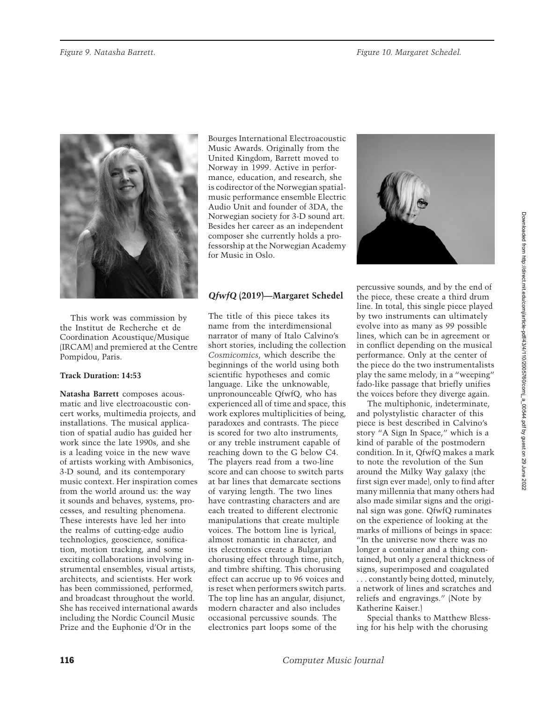

This work was commission by the Institut de Recherche et de Coordination Acoustique/Musique (IRCAM) and premiered at the Centre Pompidou, Paris.

## **Track Duration: 14:53**

**Natasha Barrett** composes acousmatic and live electroacoustic concert works, multimedia projects, and installations. The musical application of spatial audio has guided her work since the late 1990s, and she is a leading voice in the new wave of artists working with Ambisonics, 3-D sound, and its contemporary music context. Her inspiration comes from the world around us: the way it sounds and behaves, systems, processes, and resulting phenomena. These interests have led her into the realms of cutting-edge audio technologies, geoscience, sonification, motion tracking, and some exciting collaborations involving instrumental ensembles, visual artists, architects, and scientists. Her work has been commissioned, performed, and broadcast throughout the world. She has received international awards including the Nordic Council Music Prize and the Euphonie d'Or in the

Bourges International Electroacoustic Music Awards. Originally from the United Kingdom, Barrett moved to Norway in 1999. Active in performance, education, and research, she is codirector of the Norwegian spatialmusic performance ensemble Electric Audio Unit and founder of 3DA, the Norwegian society for 3-D sound art. Besides her career as an independent composer she currently holds a professorship at the Norwegian Academy for Music in Oslo.

# *QfwfQ* **(2019)—Margaret Schedel**

The title of this piece takes its name from the interdimensional narrator of many of Italo Calvino's short stories, including the collection *Cosmicomics*, which describe the beginnings of the world using both scientific hypotheses and comic language. Like the unknowable, unpronounceable QfwfQ, who has experienced all of time and space, this work explores multiplicities of being, paradoxes and contrasts. The piece is scored for two alto instruments, or any treble instrument capable of reaching down to the G below C4. The players read from a two-line score and can choose to switch parts at bar lines that demarcate sections of varying length. The two lines have contrasting characters and are each treated to different electronic manipulations that create multiple voices. The bottom line is lyrical, almost romantic in character, and its electronics create a Bulgarian chorusing effect through time, pitch, and timbre shifting. This chorusing effect can accrue up to 96 voices and is reset when performers switch parts. The top line has an angular, disjunct, modern character and also includes occasional percussive sounds. The electronics part loops some of the



percussive sounds, and by the end of the piece, these create a third drum line. In total, this single piece played by two instruments can ultimately evolve into as many as 99 possible lines, which can be in agreement or in conflict depending on the musical performance. Only at the center of the piece do the two instrumentalists play the same melody, in a "weeping" fado-like passage that briefly unifies the voices before they diverge again.

The multiphonic, indeterminate, and polystylistic character of this piece is best described in Calvino's story "A Sign In Space," which is a kind of parable of the postmodern condition. In it, QfwfQ makes a mark to note the revolution of the Sun around the Milky Way galaxy (the first sign ever made), only to find after many millennia that many others had also made similar signs and the original sign was gone. QfwfQ ruminates on the experience of looking at the marks of millions of beings in space: "In the universe now there was no longer a container and a thing contained, but only a general thickness of signs, superimposed and coagulated . . . constantly being dotted, minutely, a network of lines and scratches and reliefs and engravings." (Note by Katherine Kaiser.)

Special thanks to Matthew Blessing for his help with the chorusing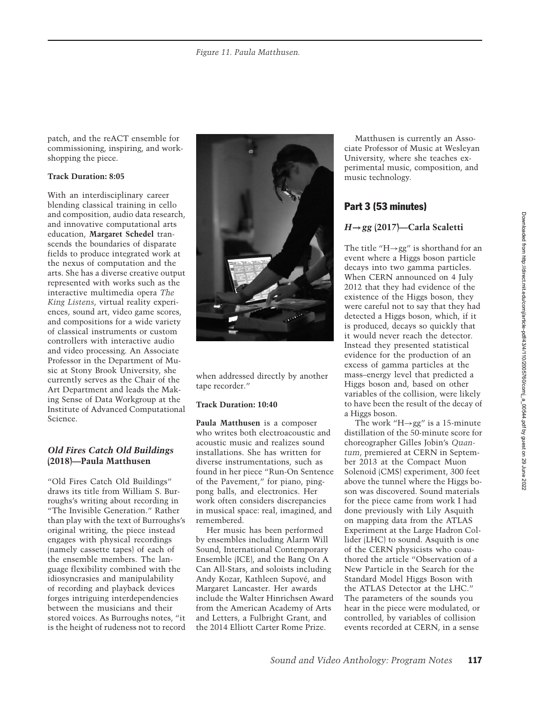patch, and the reACT ensemble for commissioning, inspiring, and workshopping the piece.

## **Track Duration: 8:05**

With an interdisciplinary career blending classical training in cello and composition, audio data research, and innovative computational arts education, **Margaret Schedel** transcends the boundaries of disparate fields to produce integrated work at the nexus of computation and the arts. She has a diverse creative output represented with works such as the interactive multimedia opera *The King Listens*, virtual reality experiences, sound art, video game scores, and compositions for a wide variety of classical instruments or custom controllers with interactive audio and video processing. An Associate Professor in the Department of Music at Stony Brook University, she currently serves as the Chair of the Art Department and leads the Making Sense of Data Workgroup at the Institute of Advanced Computational Science.

## *Old Fires Catch Old Buildings* **(2018)—Paula Matthusen**

"Old Fires Catch Old Buildings" draws its title from William S. Burroughs's writing about recording in "The Invisible Generation." Rather than play with the text of Burroughs's original writing, the piece instead engages with physical recordings (namely cassette tapes) of each of the ensemble members. The language flexibility combined with the idiosyncrasies and manipulability of recording and playback devices forges intriguing interdependencies between the musicians and their stored voices. As Burroughs notes, "it is the height of rudeness not to record



when addressed directly by another tape recorder."

#### **Track Duration: 10:40**

**Paula Matthusen** is a composer who writes both electroacoustic and acoustic music and realizes sound installations. She has written for diverse instrumentations, such as found in her piece "Run-On Sentence of the Pavement," for piano, pingpong balls, and electronics. Her work often considers discrepancies in musical space: real, imagined, and remembered.

Her music has been performed by ensembles including Alarm Will Sound, International Contemporary Ensemble (ICE), and the Bang On A Can All-Stars, and soloists including Andy Kozar, Kathleen Supove, and ´ Margaret Lancaster. Her awards include the Walter Hinrichsen Award from the American Academy of Arts and Letters, a Fulbright Grant, and the 2014 Elliott Carter Rome Prize.

Matthusen is currently an Associate Professor of Music at Wesleyan University, where she teaches experimental music, composition, and music technology.

# Part 3 (53 minutes)

# *H***→***gg* **(2017)—Carla Scaletti**

The title "H $\rightarrow$ gg" is shorthand for an event where a Higgs boson particle decays into two gamma particles. When CERN announced on 4 July 2012 that they had evidence of the existence of the Higgs boson, they were careful not to say that they had detected a Higgs boson, which, if it is produced, decays so quickly that it would never reach the detector. Instead they presented statistical evidence for the production of an excess of gamma particles at the mass–energy level that predicted a Higgs boson and, based on other variables of the collision, were likely to have been the result of the decay of a Higgs boson.

The work "H $\rightarrow$ gg" is a 15-minute distillation of the 50-minute score for choreographer Gilles Jobin's *Quantum*, premiered at CERN in September 2013 at the Compact Muon Solenoid (CMS) experiment, 300 feet above the tunnel where the Higgs boson was discovered. Sound materials for the piece came from work I had done previously with Lily Asquith on mapping data from the ATLAS Experiment at the Large Hadron Collider (LHC) to sound. Asquith is one of the CERN physicists who coauthored the article "Observation of a New Particle in the Search for the Standard Model Higgs Boson with the ATLAS Detector at the LHC." The parameters of the sounds you hear in the piece were modulated, or controlled, by variables of collision events recorded at CERN, in a sense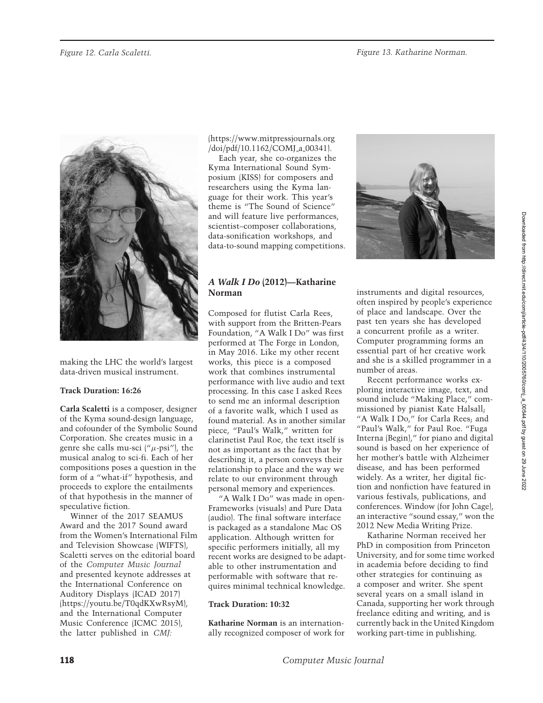

making the LHC the world's largest data-driven musical instrument.

## **Track Duration: 16:26**

**Carla Scaletti** is a composer, designer of the Kyma sound-design language, and cofounder of the Symbolic Sound Corporation. She creates music in a genre she calls mu-sci  $(^\mu \mu$ -psi"), the musical analog to sci-fi. Each of her compositions poses a question in the form of a "what-if" hypothesis, and proceeds to explore the entailments of that hypothesis in the manner of speculative fiction.

Winner of the 2017 SEAMUS Award and the 2017 Sound award from the Women's International Film and Television Showcase (WIFTS), Scaletti serves on the editorial board of the *Computer Music Journal* and presented keynote addresses at the International Conference on Auditory Displays (ICAD 2017) (https://youtu.be/T0qdKXwRsyM), and the International Computer Music Conference (ICMC 2015), the latter published in *CMJ:*

(https://www.mitpressjournals.org /doi/pdf/10.1162/COMJ a 00341).

Each year, she co-organizes the Kyma International Sound Symposium (KISS) for composers and researchers using the Kyma language for their work. This year's theme is "The Sound of Science" and will feature live performances, scientist–composer collaborations, data-sonification workshops, and data-to-sound mapping competitions.

# *A Walk I Do* **(2012)—Katharine Norman**

Composed for flutist Carla Rees, with support from the Britten-Pears Foundation, "A Walk I Do" was first performed at The Forge in London, in May 2016. Like my other recent works, this piece is a composed work that combines instrumental performance with live audio and text processing. In this case I asked Rees to send me an informal description of a favorite walk, which I used as found material. As in another similar piece, "Paul's Walk," written for clarinetist Paul Roe, the text itself is not as important as the fact that by describing it, a person conveys their relationship to place and the way we relate to our environment through personal memory and experiences.

"A Walk I Do" was made in open-Frameworks (visuals) and Pure Data (audio). The final software interface is packaged as a standalone Mac OS application. Although written for specific performers initially, all my recent works are designed to be adaptable to other instrumentation and performable with software that requires minimal technical knowledge.

#### **Track Duration: 10:32**

**Katharine Norman** is an internationally recognized composer of work for



instruments and digital resources, often inspired by people's experience of place and landscape. Over the past ten years she has developed a concurrent profile as a writer. Computer programming forms an essential part of her creative work and she is a skilled programmer in a number of areas.

Recent performance works exploring interactive image, text, and sound include "Making Place," commissioned by pianist Kate Halsall; "A Walk I Do," for Carla Rees; and "Paul's Walk," for Paul Roe. "Fuga Interna (Begin)," for piano and digital sound is based on her experience of her mother's battle with Alzheimer disease, and has been performed widely. As a writer, her digital fiction and nonfiction have featured in various festivals, publications, and conferences. Window (for John Cage), an interactive "sound essay," won the 2012 New Media Writing Prize.

Katharine Norman received her PhD in composition from Princeton University, and for some time worked in academia before deciding to find other strategies for continuing as a composer and writer. She spent several years on a small island in Canada, supporting her work through freelance editing and writing, and is currently back in the United Kingdom working part-time in publishing.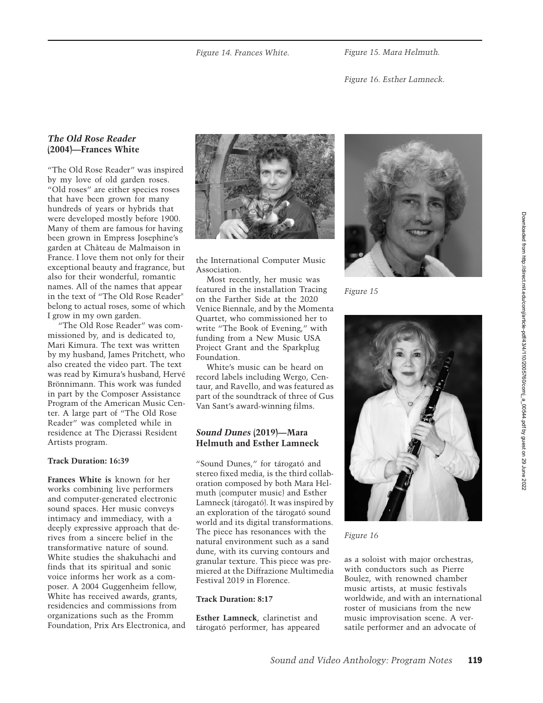*Figure 15. Mara Helmuth.*

*Figure 16. Esther Lamneck.*

# *The Old Rose Reader* **(2004)—Frances White**

"The Old Rose Reader" was inspired by my love of old garden roses. "Old roses" are either species roses that have been grown for many hundreds of years or hybrids that were developed mostly before 1900. Many of them are famous for having been grown in Empress Josephine's garden at Château de Malmaison in France. I love them not only for their exceptional beauty and fragrance, but also for their wonderful, romantic names. All of the names that appear in the text of "The Old Rose Reader" belong to actual roses, some of which I grow in my own garden.

"The Old Rose Reader" was commissioned by, and is dedicated to, Mari Kimura. The text was written by my husband, James Pritchett, who also created the video part. The text was read by Kimura's husband, Herve´ Brönnimann. This work was funded in part by the Composer Assistance Program of the American Music Center. A large part of "The Old Rose Reader" was completed while in residence at The Djerassi Resident Artists program.

#### **Track Duration: 16:39**

**Frances White is** known for her works combining live performers and computer-generated electronic sound spaces. Her music conveys intimacy and immediacy, with a deeply expressive approach that derives from a sincere belief in the transformative nature of sound. White studies the shakuhachi and finds that its spiritual and sonic voice informs her work as a composer. A 2004 Guggenheim fellow, White has received awards, grants, residencies and commissions from organizations such as the Fromm Foundation, Prix Ars Electronica, and



the International Computer Music Association.

Most recently, her music was featured in the installation Tracing on the Farther Side at the 2020 Venice Biennale, and by the Momenta Quartet, who commissioned her to write "The Book of Evening," with funding from a New Music USA Project Grant and the Sparkplug Foundation.

White's music can be heard on record labels including Wergo, Centaur, and Ravello, and was featured as part of the soundtrack of three of Gus Van Sant's award-winning films.

# *Sound Dunes* **(2019)—Mara Helmuth and Esther Lamneck**

"Sound Dunes," for tárogató and stereo fixed media, is the third collaboration composed by both Mara Helmuth (computer music) and Esther Lamneck (tárogató). It was inspired by an exploration of the tárogató sound world and its digital transformations. The piece has resonances with the natural environment such as a sand dune, with its curving contours and granular texture. This piece was premiered at the Diffrazione Multimedia Festival 2019 in Florence.

#### **Track Duration: 8:17**

**Esther Lamneck**, clarinetist and tárogató performer, has appeared



*Figure 15*



*Figure 16*

as a soloist with major orchestras, with conductors such as Pierre Boulez, with renowned chamber music artists, at music festivals worldwide, and with an international roster of musicians from the new music improvisation scene. A versatile performer and an advocate of